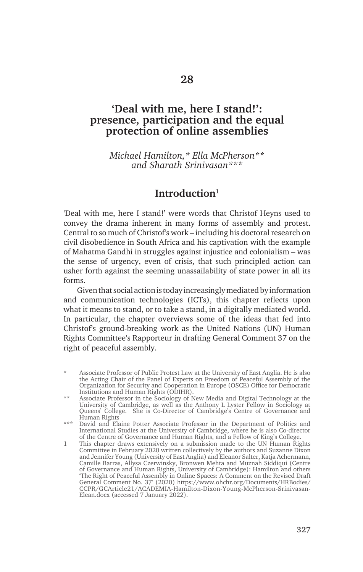# **'Deal with me, here I stand!': presence, participation and the equal protection of online assemblies**

*Michael Hamilton,\* Ella McPherson\*\* and Sharath Srinivasan\*\*\**

# **Introduction**<sup>1</sup>

'Deal with me, here I stand!' were words that Christof Heyns used to convey the drama inherent in many forms of assembly and protest. Central to so much of Christof's work – including his doctoral research on civil disobedience in South Africa and his captivation with the example of Mahatma Gandhi in struggles against injustice and colonialism – was the sense of urgency, even of crisis, that such principled action can usher forth against the seeming unassailability of state power in all its forms.

Given that social action is today increasingly mediated by information and communication technologies (ICTs), this chapter reflects upon what it means to stand, or to take a stand, in a digitally mediated world. In particular, the chapter overviews some of the ideas that fed into Christof's ground-breaking work as the United Nations (UN) Human Rights Committee's Rapporteur in drafting General Comment 37 on the right of peaceful assembly.

Associate Professor of Public Protest Law at the University of East Anglia. He is also the Acting Chair of the Panel of Experts on Freedom of Peaceful Assembly of the Organization for Security and Cooperation in Europe (OSCE) Office for Democratic Institutions and Human Rights (ODIHR).

<sup>\*\*</sup> Associate Professor in the Sociology of New Media and Digital Technology at the University of Cambridge, as well as the Anthony L Lyster Fellow in Sociology at Queens' College. She is Co-Director of Cambridge's Centre of Governance and Human Rights

<sup>\*\*\*</sup> David and Elaine Potter Associate Professor in the Department of Politics and International Studies at the University of Cambridge, where he is also Co-director of the Centre of Governance and Human Rights, and a Fellow of King's College.

<sup>1</sup> This chapter draws extensively on a submission made to the UN Human Rights Committee in February 2020 written collectively by the authors and Suzanne Dixon and Jennifer Young (University of East Anglia) and Eleanor Salter, Katja Achermann, Camille Barras, Allysa Czerwinsky, Bronwen Mehta and Muznah Siddiqui (Centre of Governance and Human Rights, University of Cambridge): Hamilton and others 'The Right of Peaceful Assembly in Online Spaces: A Comment on the Revised Draft General Comment No. 37' (2020) https://www.ohchr.org/Documents/HRBodies/ CCPR/GCArticle21/ACADEMIA-Hamilton-Dixon-Young-McPherson-Srinivasan-Elean.docx (accessed 7 January 2022).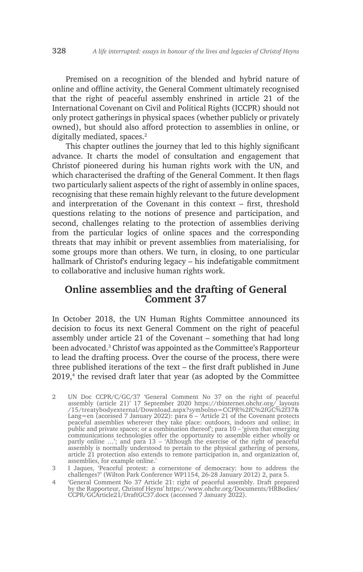Premised on a recognition of the blended and hybrid nature of online and offline activity, the General Comment ultimately recognised that the right of peaceful assembly enshrined in article 21 of the International Covenant on Civil and Political Rights (ICCPR) should not only protect gatherings in physical spaces (whether publicly or privately owned), but should also afford protection to assemblies in online, or digitally mediated, spaces.<sup>2</sup>

This chapter outlines the journey that led to this highly significant advance. It charts the model of consultation and engagement that Christof pioneered during his human rights work with the UN, and which characterised the drafting of the General Comment. It then flags two particularly salient aspects of the right of assembly in online spaces, recognising that these remain highly relevant to the future development and interpretation of the Covenant in this context – first, threshold questions relating to the notions of presence and participation, and second, challenges relating to the protection of assemblies deriving from the particular logics of online spaces and the corresponding threats that may inhibit or prevent assemblies from materialising, for some groups more than others. We turn, in closing, to one particular hallmark of Christof's enduring legacy – his indefatigable commitment to collaborative and inclusive human rights work.

# **Online assemblies and the drafting of General Comment 37**

In October 2018, the UN Human Rights Committee announced its decision to focus its next General Comment on the right of peaceful assembly under article 21 of the Covenant – something that had long been advocated.3 Christof was appointed as the Committee's Rapporteur to lead the drafting process. Over the course of the process, there were three published iterations of the text – the first draft published in June 2019,<sup>4</sup> the revised draft later that year (as adopted by the Committee

- 2 UN Doc CCPR/C/GC/37 'General Comment No 37 on the right of peaceful assembly (article 21)' 17 September 2020 https://tbinternet.ohchr.org/\_layouts /15/treatybodyexternal/Download.aspx?symbolno=CCPR%2fC%2fGC%2f37& Lang=en (accessed 7 January 2022): para 6 – 'Article 21 of the Covenant protects peaceful assemblies wherever they take place: outdoors, indoors and online; in public and private spaces; or a combination thereof'; para 10 – 'given that emerging communications technologies offer the opportunity to assemble either wholly or partly online …'; and para 13 – 'Although the exercise of the right of peaceful assembly is normally understood to pertain to the physical gathering of persons, article 21 protection also extends to remote participation in, and organization of, assemblies, for example online.'
- 3 I Jaques, 'Peaceful protest: a cornerstone of democracy: how to address the challenges?' (Wilton Park Conference WP1154, 26-28 January 2012) 2, para 5.
- 4 'General Comment No 37 Article 21: right of peaceful assembly. Draft prepared by the Rapporteur, Christof Heyns' https://www.ohchr.org/Documents/HRBodies/ CCPR/GCArticle21/DraftGC37.docx (accessed 7 January 2022).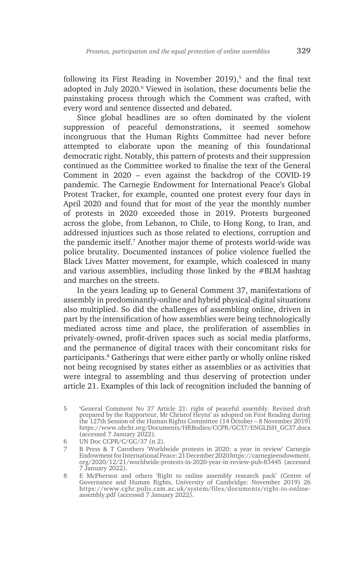following its First Reading in November 2019), $5$  and the final text adopted in July 2020.<sup>6</sup> Viewed in isolation, these documents belie the painstaking process through which the Comment was crafted, with every word and sentence dissected and debated.

Since global headlines are so often dominated by the violent suppression of peaceful demonstrations, it seemed somehow incongruous that the Human Rights Committee had never before attempted to elaborate upon the meaning of this foundational democratic right. Notably, this pattern of protests and their suppression continued as the Committee worked to finalise the text of the General Comment in 2020 – even against the backdrop of the COVID-19 pandemic. The Carnegie Endowment for International Peace's Global Protest Tracker, for example, counted one protest every four days in April 2020 and found that for most of the year the monthly number of protests in 2020 exceeded those in 2019. Protests burgeoned across the globe, from Lebanon, to Chile, to Hong Kong, to Iran, and addressed injustices such as those related to elections, corruption and the pandemic itself.7 Another major theme of protests world-wide was police brutality. Documented instances of police violence fuelled the Black Lives Matter movement, for example, which coalesced in many and various assemblies, including those linked by the #BLM hashtag and marches on the streets.

In the years leading up to General Comment 37, manifestations of assembly in predominantly-online and hybrid physical-digital situations also multiplied. So did the challenges of assembling online, driven in part by the intensification of how assemblies were being technologically mediated across time and place, the proliferation of assemblies in privately-owned, profit-driven spaces such as social media platforms, and the permanence of digital traces with their concomitant risks for participants.<sup>8</sup> Gatherings that were either partly or wholly online risked not being recognised by states either as assemblies or as activities that were integral to assembling and thus deserving of protection under article 21. Examples of this lack of recognition included the banning of

<sup>5</sup> 'General Comment No 37 Article 21: right of peaceful assembly. Revised draft prepared by the Rapporteur, Mr Christof Heyns' as adopted on First Reading during the 127th Session of the Human Rights Committee (14 October – 8 November 2019) https://www.ohchr.org/Documents/HRBodies/CCPR/GC37/ENGLISH\_GC37.docx (accessed 7 January 2022).

<sup>6</sup> UN Doc CCPR/C/GC/37 (n 2).

<sup>7</sup> B Press & T Carothers 'Worldwide protests in 2020: a year in review' Carnegie Endowment for International Peace: 21 December 2020 https://carnegieendowment. org/2020/12/21/worldwide-protests-in-2020-year-in-review-pub-83445 (accessed 7 January 2022).

<sup>8</sup> E McPherson and others 'Right to online assembly research pack' (Centre of Governance and Human Rights, University of Cambridge: November 2019) 26 https://www.cghr.polis.cam.ac.uk/system/files/documents/right-to-onlineassembly.pdf (accessed 7 January 2022).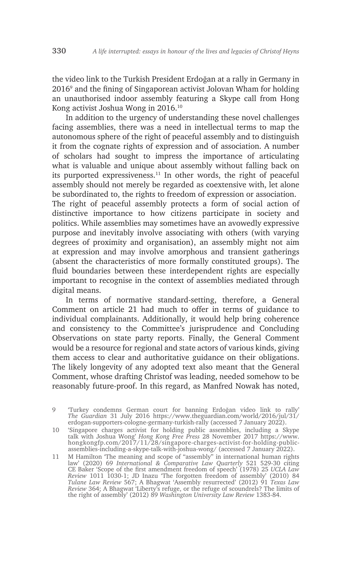the video link to the Turkish President Erdoğan at a rally in Germany in 20169 and the fining of Singaporean activist Jolovan Wham for holding an unauthorised indoor assembly featuring a Skype call from Hong Kong activist Joshua Wong in 2016.10

In addition to the urgency of understanding these novel challenges facing assemblies, there was a need in intellectual terms to map the autonomous sphere of the right of peaceful assembly and to distinguish it from the cognate rights of expression and of association. A number of scholars had sought to impress the importance of articulating what is valuable and unique about assembly without falling back on its purported expressiveness.11 In other words, the right of peaceful assembly should not merely be regarded as coextensive with, let alone be subordinated to, the rights to freedom of expression or association. The right of peaceful assembly protects a form of social action of

distinctive importance to how citizens participate in society and politics. While assemblies may sometimes have an avowedly expressive purpose and inevitably involve associating with others (with varying degrees of proximity and organisation), an assembly might not aim at expression and may involve amorphous and transient gatherings (absent the characteristics of more formally constituted groups). The fluid boundaries between these interdependent rights are especially important to recognise in the context of assemblies mediated through digital means.

In terms of normative standard-setting, therefore, a General Comment on article 21 had much to offer in terms of guidance to individual complainants. Additionally, it would help bring coherence and consistency to the Committee's jurisprudence and Concluding Observations on state party reports. Finally, the General Comment would be a resource for regional and state actors of various kinds, giving them access to clear and authoritative guidance on their obligations. The likely longevity of any adopted text also meant that the General Comment, whose drafting Christof was leading, needed somehow to be reasonably future-proof. In this regard, as Manfred Nowak has noted,

10 'Singapore charges activist for holding public assemblies, including a Skype talk with Joshua Wong' *Hong Kong Free Press* 28 November 2017 https://www. hongkongfp.com/2017/11/28/singapore-charges-activist-for-holding-publicassemblies-including-a-skype-talk-with-joshua-wong/ (accessed 7 January 2022).

<sup>9</sup> 'Turkey condemns German court for banning Erdoğan video link to rally' *The Guardian* 31 July 2016 https://www.theguardian.com/world/2016/jul/31/ erdogan-supporters-cologne-germany-turkish-rally (accessed 7 January 2022).

<sup>11</sup> M Hamilton 'The meaning and scope of "assembly" in international human rights law' (2020) 69 *International & Comparative Law Quarterly* 521 529-30 citing CE Baker 'Scope of the first amendment freedom of speech' (1978) 25 *UCLA Law Review* 1011 1030-1; JD Inazu 'The forgotten freedom of assembly' (2010) 84 *Tulane Law Review* 567; A Bhagwat 'Assembly resurrected' (2012) 91 *Texas Law Review* 364; A Bhagwat 'Liberty's refuge, or the refuge of scoundrels? The limits of the right of assembly' (2012) 89 *Washington University Law Review* 1383-84.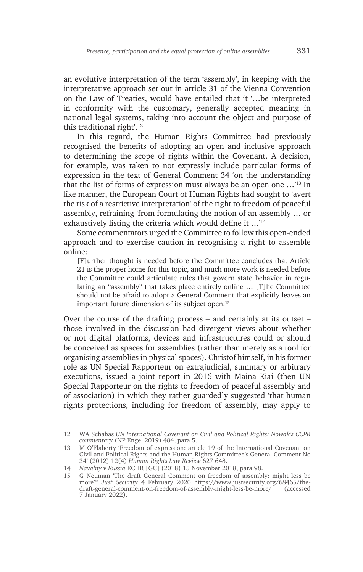an evolutive interpretation of the term 'assembly', in keeping with the interpretative approach set out in article 31 of the Vienna Convention on the Law of Treaties, would have entailed that it '…be interpreted in conformity with the customary, generally accepted meaning in national legal systems, taking into account the object and purpose of this traditional right'.12

In this regard, the Human Rights Committee had previously recognised the benefits of adopting an open and inclusive approach to determining the scope of rights within the Covenant. A decision, for example, was taken to not expressly include particular forms of expression in the text of General Comment 34 'on the understanding that the list of forms of expression must always be an open one …'13 In like manner, the European Court of Human Rights had sought to 'avert the risk of a restrictive interpretation' of the right to freedom of peaceful assembly, refraining 'from formulating the notion of an assembly … or exhaustively listing the criteria which would define it …'<sup>14</sup>

Some commentators urged the Committee to follow this open-ended approach and to exercise caution in recognising a right to assemble online:

[F]urther thought is needed before the Committee concludes that Article 21 is the proper home for this topic, and much more work is needed before the Committee could articulate rules that govern state behavior in regulating an "assembly" that takes place entirely online … [T]he Committee should not be afraid to adopt a General Comment that explicitly leaves an important future dimension of its subject open.15

Over the course of the drafting process – and certainly at its outset – those involved in the discussion had divergent views about whether or not digital platforms, devices and infrastructures could or should be conceived as spaces for assemblies (rather than merely as a tool for organising assemblies in physical spaces). Christof himself, in his former role as UN Special Rapporteur on extrajudicial, summary or arbitrary executions, issued a joint report in 2016 with Maina Kiai (then UN Special Rapporteur on the rights to freedom of peaceful assembly and of association) in which they rather guardedly suggested 'that human rights protections, including for freedom of assembly, may apply to

<sup>12</sup> WA Schabas *UN International Covenant on Civil and Political Rights: Nowak's CCPR commentary* (NP Engel 2019) 484, para 5.

<sup>13</sup> M O'Flaherty 'Freedom of expression: article 19 of the International Covenant on Civil and Political Rights and the Human Rights Committee's General Comment No 34' (2012) 12(4) *Human Rights Law Review* 627 648.

<sup>14</sup> *Navalny v Russia* ECHR [GC] (2018) 15 November 2018, para 98.

<sup>15</sup> G Neuman 'The draft General Comment on freedom of assembly: might less be more?' *Just Security* 4 February 2020 https://www.justsecurity.org/68465/thedraft-general-comment-on-freedom-of-assembly-might-less-be-more/ (accessed 7 January 2022).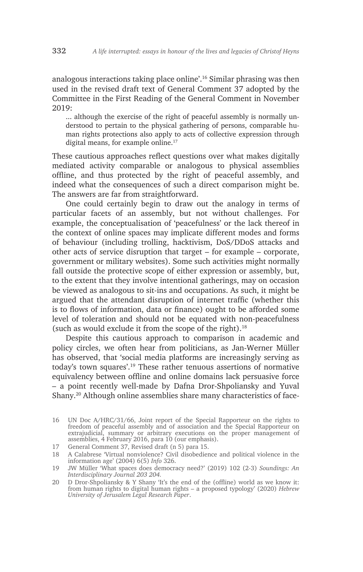analogous interactions taking place online'.16 Similar phrasing was then used in the revised draft text of General Comment 37 adopted by the Committee in the First Reading of the General Comment in November 2019:

... although the exercise of the right of peaceful assembly is normally understood to pertain to the physical gathering of persons, comparable human rights protections also apply to acts of collective expression through digital means, for example online.<sup>17</sup>

These cautious approaches reflect questions over what makes digitally mediated activity comparable or analogous to physical assemblies offline, and thus protected by the right of peaceful assembly, and indeed what the consequences of such a direct comparison might be. The answers are far from straightforward.

One could certainly begin to draw out the analogy in terms of particular facets of an assembly, but not without challenges. For example, the conceptualisation of 'peacefulness' or the lack thereof in the context of online spaces may implicate different modes and forms of behaviour (including trolling, hacktivism, DoS/DDoS attacks and other acts of service disruption that target – for example – corporate, government or military websites). Some such activities might normally fall outside the protective scope of either expression or assembly, but, to the extent that they involve intentional gatherings, may on occasion be viewed as analogous to sit-ins and occupations. As such, it might be argued that the attendant disruption of internet traffic (whether this is to flows of information, data or finance) ought to be afforded some level of toleration and should not be equated with non-peacefulness (such as would exclude it from the scope of the right). $18$ 

Despite this cautious approach to comparison in academic and policy circles, we often hear from politicians, as Jan-Werner Müller has observed, that 'social media platforms are increasingly serving as today's town squares'.19 These rather tenuous assertions of normative equivalency between offline and online domains lack persuasive force – a point recently well-made by Dafna Dror-Shpoliansky and Yuval Shany.20 Although online assemblies share many characteristics of face-

<sup>16</sup> UN Doc A/HRC/31/66, Joint report of the Special Rapporteur on the rights to freedom of peaceful assembly and of association and the Special Rapporteur on extrajudicial, summary or arbitrary executions on the proper management of assemblies, 4 February 2016, para 10 (our emphasis).

<sup>17</sup> General Comment 37, Revised draft (n 5) para 15.

<sup>18</sup> A Calabrese 'Virtual nonviolence? Civil disobedience and political violence in the information age' (2004) 6(5) *Info* 326.

<sup>19</sup> JW Müller 'What spaces does democracy need?' (2019) 102 (2-3) *Soundings: An Interdisciplinary Journal 203 204.*

<sup>20</sup> D Dror-Shpoliansky & Y Shany 'It's the end of the (offline) world as we know it: from human rights to digital human rights – a proposed typology' (2020) *Hebrew University of Jerusalem Legal Research Paper*.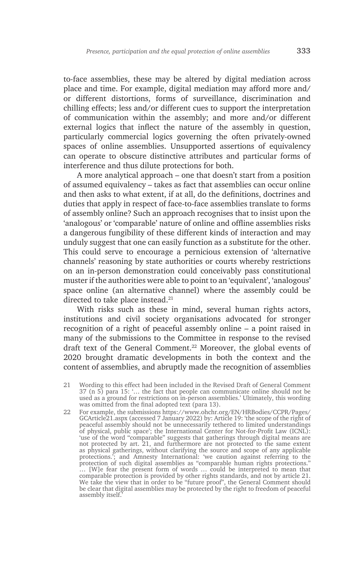to-face assemblies, these may be altered by digital mediation across place and time. For example, digital mediation may afford more and/ or different distortions, forms of surveillance, discrimination and chilling effects; less and/or different cues to support the interpretation of communication within the assembly; and more and/or different external logics that inflect the nature of the assembly in question, particularly commercial logics governing the often privately-owned spaces of online assemblies. Unsupported assertions of equivalency can operate to obscure distinctive attributes and particular forms of interference and thus dilute protections for both.

A more analytical approach – one that doesn't start from a position of assumed equivalency – takes as fact that assemblies can occur online and then asks to what extent, if at all, do the definitions, doctrines and duties that apply in respect of face-to-face assemblies translate to forms of assembly online? Such an approach recognises that to insist upon the 'analogous' or 'comparable' nature of online and offline assemblies risks a dangerous fungibility of these different kinds of interaction and may unduly suggest that one can easily function as a substitute for the other. This could serve to encourage a pernicious extension of 'alternative channels' reasoning by state authorities or courts whereby restrictions on an in-person demonstration could conceivably pass constitutional muster if the authorities were able to point to an 'equivalent', 'analogous' space online (an alternative channel) where the assembly could be directed to take place instead.<sup>21</sup>

With risks such as these in mind, several human rights actors, institutions and civil society organisations advocated for stronger recognition of a right of peaceful assembly online – a point raised in many of the submissions to the Committee in response to the revised draft text of the General Comment.<sup>22</sup> Moreover, the global events of 2020 brought dramatic developments in both the context and the content of assemblies, and abruptly made the recognition of assemblies

22 For example, the submissions https://www.ohchr.org/EN/HRBodies/CCPR/Pages/ GCArticle21.aspx (accessed 7 January 2022) by: Article 19: 'the scope of the right of peaceful assembly should not be unnecessarily tethered to limited understandings of physical, public space'; the International Center for Not-for-Profit Law (ICNL): 'use of the word "comparable" suggests that gatherings through digital means are not protected by art. 21, and furthermore are not protected to the same extent as physical gatherings, without clarifying the source and scope of any applicable protections.'; and Amnesty International: 'we caution against referring to the protection of such digital assemblies as "comparable human rights protections." … [W]e fear the present form of words … could be interpreted to mean that comparable protection is provided by other rights standards, and not by article 21. We take the view that in order to be "future proof", the General Comment should be clear that digital assemblies may be protected by the right to freedom of peaceful assembly itself.'

<sup>21</sup> Wording to this effect had been included in the Revised Draft of General Comment 37 (n 5) para 15: '… the fact that people can communicate online should not be used as a ground for restrictions on in-person assemblies.' Ultimately, this wording was omitted from the final adopted text (para 13).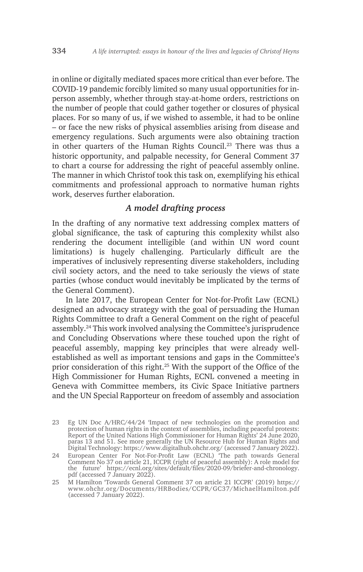in online or digitally mediated spaces more critical than ever before. The COVID-19 pandemic forcibly limited so many usual opportunities for inperson assembly, whether through stay-at-home orders, restrictions on the number of people that could gather together or closures of physical places. For so many of us, if we wished to assemble, it had to be online – or face the new risks of physical assemblies arising from disease and emergency regulations. Such arguments were also obtaining traction in other quarters of the Human Rights Council.23 There was thus a historic opportunity, and palpable necessity, for General Comment 37 to chart a course for addressing the right of peaceful assembly online. The manner in which Christof took this task on, exemplifying his ethical commitments and professional approach to normative human rights work, deserves further elaboration.

## *A model drafting process*

In the drafting of any normative text addressing complex matters of global significance, the task of capturing this complexity whilst also rendering the document intelligible (and within UN word count limitations) is hugely challenging. Particularly difficult are the imperatives of inclusively representing diverse stakeholders, including civil society actors, and the need to take seriously the views of state parties (whose conduct would inevitably be implicated by the terms of the General Comment).

In late 2017, the European Center for Not-for-Profit Law (ECNL) designed an advocacy strategy with the goal of persuading the Human Rights Committee to draft a General Comment on the right of peaceful assembly.24 This work involved analysing the Committee's jurisprudence and Concluding Observations where these touched upon the right of peaceful assembly, mapping key principles that were already wellestablished as well as important tensions and gaps in the Committee's prior consideration of this right.25 With the support of the Office of the High Commissioner for Human Rights, ECNL convened a meeting in Geneva with Committee members, its Civic Space Initiative partners and the UN Special Rapporteur on freedom of assembly and association

<sup>23</sup> Eg UN Doc A/HRC/44/24 'Impact of new technologies on the promotion and protection of human rights in the context of assemblies, including peaceful protests: Report of the United Nations High Commissioner for Human Rights' 24 June 2020, paras 13 and 51. See more generally the UN Resource Hub for Human Rights and Digital Technology: https://www.digitalhub.ohchr.org/ (accessed 7 January 2022).

<sup>24</sup> European Center For Not-For-Profit Law (ECNL) 'The path towards General Comment No 37 on article 21, ICCPR (right of peaceful assembly): A role model for the future' https://ecnl.org/sites/default/files/2020-09/briefer-and-chronology. pdf (accessed 7 January 2022).

<sup>25</sup> M Hamilton 'Towards General Comment 37 on article 21 ICCPR' (2019) https:// www.ohchr.org/Documents/HRBodies/CCPR/GC37/MichaelHamilton.pdf (accessed 7 January 2022).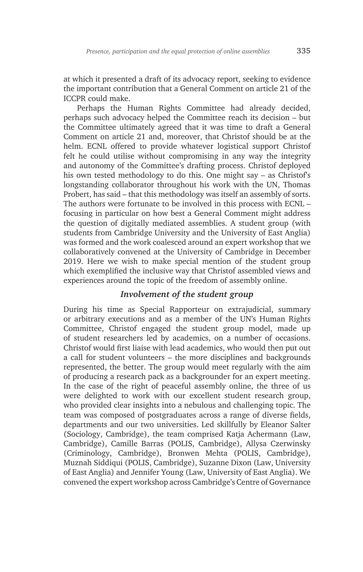at which it presented a draft of its advocacy report, seeking to evidence the important contribution that a General Comment on article 21 of the ICCPR could make.

Perhaps the Human Rights Committee had already decided, perhaps such advocacy helped the Committee reach its decision – but the Committee ultimately agreed that it was time to draft a General Comment on article 21 and, moreover, that Christof should be at the helm. ECNL offered to provide whatever logistical support Christof felt he could utilise without compromising in any way the integrity and autonomy of the Committee's drafting process. Christof deployed his own tested methodology to do this. One might say – as Christof's longstanding collaborator throughout his work with the UN, Thomas Probert, has said – that this methodology was itself an assembly of sorts. The authors were fortunate to be involved in this process with ECNL – focusing in particular on how best a General Comment might address the question of digitally mediated assemblies. A student group (with students from Cambridge University and the University of East Anglia) was formed and the work coalesced around an expert workshop that we collaboratively convened at the University of Cambridge in December 2019. Here we wish to make special mention of the student group which exemplified the inclusive way that Christof assembled views and experiences around the topic of the freedom of assembly online.

## *Involvement of the student group*

During his time as Special Rapporteur on extrajudicial, summary or arbitrary executions and as a member of the UN's Human Rights Committee, Christof engaged the student group model, made up of student researchers led by academics, on a number of occasions. Christof would first liaise with lead academics, who would then put out a call for student volunteers – the more disciplines and backgrounds represented, the better. The group would meet regularly with the aim of producing a research pack as a backgrounder for an expert meeting. In the case of the right of peaceful assembly online, the three of us were delighted to work with our excellent student research group, who provided clear insights into a nebulous and challenging topic. The team was composed of postgraduates across a range of diverse fields, departments and our two universities. Led skillfully by Eleanor Salter (Sociology, Cambridge), the team comprised Katja Achermann (Law, Cambridge), Camille Barras (POLIS, Cambridge), Allysa Czerwinsky (Criminology, Cambridge), Bronwen Mehta (POLIS, Cambridge), Muznah Siddiqui (POLIS, Cambridge), Suzanne Dixon (Law, University of East Anglia) and Jennifer Young (Law, University of East Anglia). We convened the expert workshop across Cambridge's Centre of Governance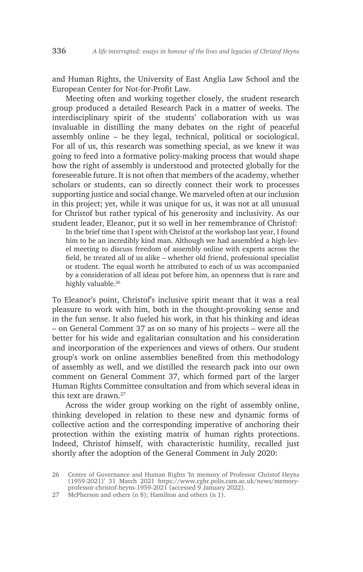and Human Rights, the University of East Anglia Law School and the European Center for Not-for-Profit Law.

Meeting often and working together closely, the student research group produced a detailed Research Pack in a matter of weeks. The interdisciplinary spirit of the students' collaboration with us was invaluable in distilling the many debates on the right of peaceful assembly online – be they legal, technical, political or sociological. For all of us, this research was something special, as we knew it was going to feed into a formative policy-making process that would shape how the right of assembly is understood and protected globally for the foreseeable future. It is not often that members of the academy, whether scholars or students, can so directly connect their work to processes supporting justice and social change. We marveled often at our inclusion in this project; yet, while it was unique for us, it was not at all unusual for Christof but rather typical of his generosity and inclusivity. As our student leader, Eleanor, put it so well in her remembrance of Christof:

In the brief time that I spent with Christof at the workshop last year, I found him to be an incredibly kind man. Although we had assembled a high-level meeting to discuss freedom of assembly online with experts across the field, he treated all of us alike – whether old friend, professional specialist or student. The equal worth he attributed to each of us was accompanied by a consideration of all ideas put before him, an openness that is rare and highly valuable.<sup>26</sup>

To Eleanor's point, Christof's inclusive spirit meant that it was a real pleasure to work with him, both in the thought-provoking sense and in the fun sense. It also fueled his work, in that his thinking and ideas – on General Comment 37 as on so many of his projects – were all the better for his wide and egalitarian consultation and his consideration and incorporation of the experiences and views of others. Our student group's work on online assemblies benefited from this methodology of assembly as well, and we distilled the research pack into our own comment on General Comment 37, which formed part of the larger Human Rights Committee consultation and from which several ideas in this text are drawn  $27$ 

Across the wider group working on the right of assembly online, thinking developed in relation to these new and dynamic forms of collective action and the corresponding imperative of anchoring their protection within the existing matrix of human rights protections. Indeed, Christof himself, with characteristic humility, recalled just shortly after the adoption of the General Comment in July 2020:

<sup>26</sup> Centre of Governance and Human Rights 'In memory of Professor Christof Heyns (1959-2021)' 31 March 2021 https://www.cghr.polis.cam.ac.uk/news/memoryprofessor-christof-heyns-1959-2021 (accessed 9 January 2022).

<sup>27</sup> McPherson and others (n 8); Hamilton and others (n 1).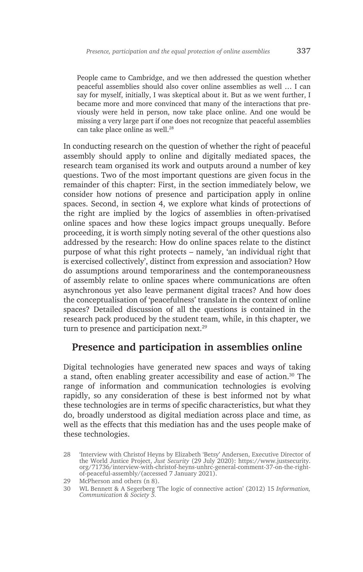People came to Cambridge, and we then addressed the question whether peaceful assemblies should also cover online assemblies as well … I can say for myself, initially, I was skeptical about it. But as we went further, I became more and more convinced that many of the interactions that previously were held in person, now take place online. And one would be missing a very large part if one does not recognize that peaceful assemblies can take place online as well.<sup>28</sup>

In conducting research on the question of whether the right of peaceful assembly should apply to online and digitally mediated spaces, the research team organised its work and outputs around a number of key questions. Two of the most important questions are given focus in the remainder of this chapter: First, in the section immediately below, we consider how notions of presence and participation apply in online spaces. Second, in section 4, we explore what kinds of protections of the right are implied by the logics of assemblies in often-privatised online spaces and how these logics impact groups unequally. Before proceeding, it is worth simply noting several of the other questions also addressed by the research: How do online spaces relate to the distinct purpose of what this right protects – namely, 'an individual right that is exercised collectively', distinct from expression and association? How do assumptions around temporariness and the contemporaneousness of assembly relate to online spaces where communications are often asynchronous yet also leave permanent digital traces? And how does the conceptualisation of 'peacefulness' translate in the context of online spaces? Detailed discussion of all the questions is contained in the research pack produced by the student team, while, in this chapter, we turn to presence and participation next.<sup>29</sup>

# **Presence and participation in assemblies online**

Digital technologies have generated new spaces and ways of taking a stand, often enabling greater accessibility and ease of action.30 The range of information and communication technologies is evolving rapidly, so any consideration of these is best informed not by what these technologies are in terms of specific characteristics, but what they do, broadly understood as digital mediation across place and time, as well as the effects that this mediation has and the uses people make of these technologies.

<sup>28</sup> 'Interview with Christof Heyns by Elizabeth 'Betsy' Andersen, Executive Director of the World Justice Project, *Just Security* (29 July 2020): https://www.justsecurity. org/71736/interview-with-christof-heyns-unhrc-general-comment-37-on-the-rightof-peaceful-assembly/(accessed 7 January 2021).

<sup>29</sup> McPherson and others (n 8).

<sup>30</sup> WL Bennett & A Segerberg 'The logic of connective action' (2012) 15 *Information, Communication & Society 5.*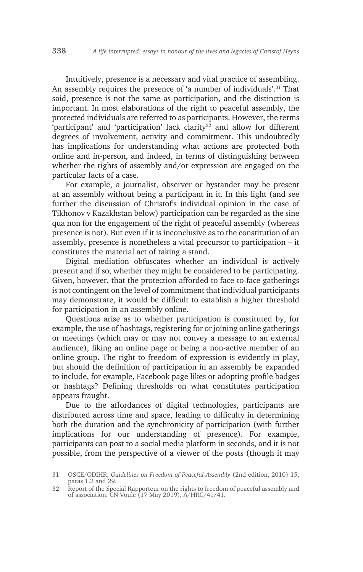Intuitively, presence is a necessary and vital practice of assembling. An assembly requires the presence of 'a number of individuals'.<sup>31</sup> That said, presence is not the same as participation, and the distinction is important. In most elaborations of the right to peaceful assembly, the protected individuals are referred to as participants. However, the terms 'participant' and 'participation' lack clarity<sup>32</sup> and allow for different degrees of involvement, activity and commitment. This undoubtedly has implications for understanding what actions are protected both online and in-person, and indeed, in terms of distinguishing between whether the rights of assembly and/or expression are engaged on the particular facts of a case.

For example, a journalist, observer or bystander may be present at an assembly without being a participant in it. In this light (and see further the discussion of Christof's individual opinion in the case of Tikhonov v Kazakhstan below) participation can be regarded as the sine qua non for the engagement of the right of peaceful assembly (whereas presence is not). But even if it is inconclusive as to the constitution of an assembly, presence is nonetheless a vital precursor to participation – it constitutes the material act of taking a stand.

Digital mediation obfuscates whether an individual is actively present and if so, whether they might be considered to be participating. Given, however, that the protection afforded to face-to-face gatherings is not contingent on the level of commitment that individual participants may demonstrate, it would be difficult to establish a higher threshold for participation in an assembly online.

Questions arise as to whether participation is constituted by, for example, the use of hashtags, registering for or joining online gatherings or meetings (which may or may not convey a message to an external audience), liking an online page or being a non-active member of an online group. The right to freedom of expression is evidently in play, but should the definition of participation in an assembly be expanded to include, for example, Facebook page likes or adopting profile badges or hashtags? Defining thresholds on what constitutes participation appears fraught.

Due to the affordances of digital technologies, participants are distributed across time and space, leading to difficulty in determining both the duration and the synchronicity of participation (with further implications for our understanding of presence). For example, participants can post to a social media platform in seconds, and it is not possible, from the perspective of a viewer of the posts (though it may

<sup>31</sup> OSCE/ODIHR, *Guidelines on Freedom of Peaceful Assembly* (2nd edition, 2010) 15, paras 1.2 and 29.

<sup>32</sup> Report of the Special Rapporteur on the rights to freedom of peaceful assembly and of association, CN Voule (17 May 2019), A/HRC/41/41.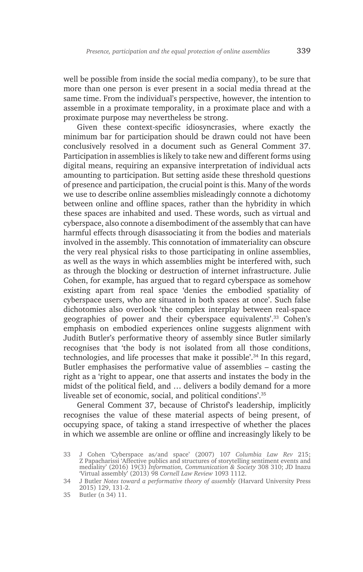well be possible from inside the social media company), to be sure that more than one person is ever present in a social media thread at the same time. From the individual's perspective, however, the intention to assemble in a proximate temporality, in a proximate place and with a proximate purpose may nevertheless be strong.

Given these context-specific idiosyncrasies, where exactly the minimum bar for participation should be drawn could not have been conclusively resolved in a document such as General Comment 37. Participation in assemblies is likely to take new and different forms using digital means, requiring an expansive interpretation of individual acts amounting to participation. But setting aside these threshold questions of presence and participation, the crucial point is this. Many of the words we use to describe online assemblies misleadingly connote a dichotomy between online and offline spaces, rather than the hybridity in which these spaces are inhabited and used. These words, such as virtual and cyberspace, also connote a disembodiment of the assembly that can have harmful effects through disassociating it from the bodies and materials involved in the assembly. This connotation of immateriality can obscure the very real physical risks to those participating in online assemblies, as well as the ways in which assemblies might be interfered with, such as through the blocking or destruction of internet infrastructure. Julie Cohen, for example, has argued that to regard cyberspace as somehow existing apart from real space 'denies the embodied spatiality of cyberspace users, who are situated in both spaces at once'. Such false dichotomies also overlook 'the complex interplay between real-space geographies of power and their cyberspace equivalents'.33 Cohen's emphasis on embodied experiences online suggests alignment with Judith Butler's performative theory of assembly since Butler similarly recognises that 'the body is not isolated from all those conditions, technologies, and life processes that make it possible'.<sup>34</sup> In this regard, Butler emphasises the performative value of assemblies – casting the right as a 'right to appear, one that asserts and instates the body in the midst of the political field, and … delivers a bodily demand for a more liveable set of economic, social, and political conditions'.35

General Comment 37, because of Christof's leadership, implicitly recognises the value of these material aspects of being present, of occupying space, of taking a stand irrespective of whether the places in which we assemble are online or offline and increasingly likely to be

<sup>33</sup> J Cohen 'Cyberspace as/and space' (2007) 107 *Columbia Law Rev* 215; Z Papacharissi 'Affective publics and structures of storytelling sentiment events and mediality' (2016) 19(3) *Information, Communication & Society* 308 310; JD Inazu 'Virtual assembly' (2013) 98 *Cornell Law Review* 1093 1112.

<sup>34</sup> J Butler *Notes toward a performative theory of assembly* (Harvard University Press 2015) 129, 131-2.

<sup>35</sup> Butler (n 34) 11.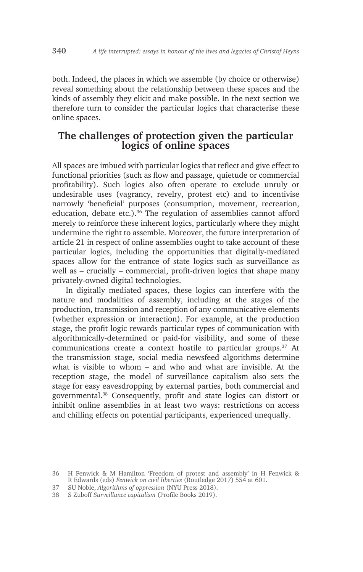both. Indeed, the places in which we assemble (by choice or otherwise) reveal something about the relationship between these spaces and the kinds of assembly they elicit and make possible. In the next section we therefore turn to consider the particular logics that characterise these online spaces.

# **The challenges of protection given the particular logics of online spaces**

All spaces are imbued with particular logics that reflect and give effect to functional priorities (such as flow and passage, quietude or commercial profitability). Such logics also often operate to exclude unruly or undesirable uses (vagrancy, revelry, protest etc) and to incentivise narrowly 'beneficial' purposes (consumption, movement, recreation, education, debate etc.).<sup>36</sup> The regulation of assemblies cannot afford merely to reinforce these inherent logics, particularly where they might undermine the right to assemble. Moreover, the future interpretation of article 21 in respect of online assemblies ought to take account of these particular logics, including the opportunities that digitally-mediated spaces allow for the entrance of state logics such as surveillance as well as – crucially – commercial, profit-driven logics that shape many privately-owned digital technologies.

In digitally mediated spaces, these logics can interfere with the nature and modalities of assembly, including at the stages of the production, transmission and reception of any communicative elements (whether expression or interaction). For example, at the production stage, the profit logic rewards particular types of communication with algorithmically-determined or paid-for visibility, and some of these communications create a context hostile to particular groups.<sup>37</sup> At the transmission stage, social media newsfeed algorithms determine what is visible to whom – and who and what are invisible. At the reception stage, the model of surveillance capitalism also sets the stage for easy eavesdropping by external parties, both commercial and governmental.38 Consequently, profit and state logics can distort or inhibit online assemblies in at least two ways: restrictions on access and chilling effects on potential participants, experienced unequally.

- 37 SU Noble, *Algorithms of oppression* (NYU Press 2018).
- 38 S Zuboff *Surveillance capitalism* (Profile Books 2019).

<sup>36</sup> H Fenwick & M Hamilton 'Freedom of protest and assembly' in H Fenwick & R Edwards (eds) *Fenwick on civil liberties* (Routledge 2017) 554 at 601.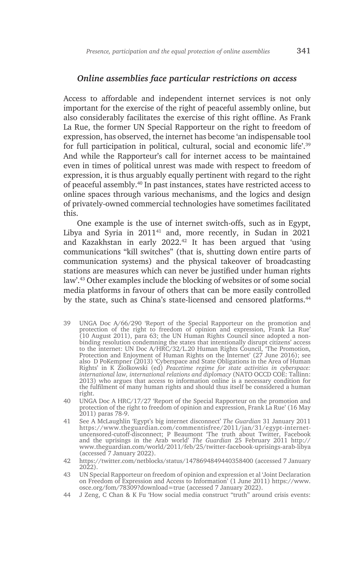#### *Online assemblies face particular restrictions on access*

Access to affordable and independent internet services is not only important for the exercise of the right of peaceful assembly online, but also considerably facilitates the exercise of this right offline. As Frank La Rue, the former UN Special Rapporteur on the right to freedom of expression, has observed, the internet has become 'an indispensable tool for full participation in political, cultural, social and economic life'.39 And while the Rapporteur's call for internet access to be maintained even in times of political unrest was made with respect to freedom of expression, it is thus arguably equally pertinent with regard to the right of peaceful assembly.40 In past instances, states have restricted access to online spaces through various mechanisms, and the logics and design of privately-owned commercial technologies have sometimes facilitated this.

One example is the use of internet switch-offs, such as in Egypt, Libya and Syria in 201141 and, more recently, in Sudan in 2021 and Kazakhstan in early 2022.<sup>42</sup> It has been argued that 'using communications "kill switches" (that is, shutting down entire parts of communication systems) and the physical takeover of broadcasting stations are measures which can never be justified under human rights law'.43 Other examples include the blocking of websites or of some social media platforms in favour of others that can be more easily controlled by the state, such as China's state-licensed and censored platforms.<sup>44</sup>

- 39 UNGA Doc A/66/290 'Report of the Special Rapporteur on the promotion and protection of the right to freedom of opinion and expression, Frank La Rue' (10 August 2011), para 63; the UN Human Rights Council since adopted a nonbinding resolution condemning the states that intentionally disrupt citizens' access to the internet: UN Doc A/HRC/32/L.20 Human Rights Council, 'The Promotion, Protection and Enjoyment of Human Rights on the Internet' (27 June 2016); see also D PoKempner (2013) 'Cyberspace and State Obligations in the Area of Human Rights' in K Ziolkowski (ed) *Peacetime regime for state activities in cyberspace: international law, international relations and diplomacy* (NATO OCCD COE: Tallinn: 2013) who argues that access to information online is a necessary condition for the fulfilment of many human rights and should thus itself be considered a human right.
- 40 UNGA Doc A HRC/17/27 'Report of the Special Rapporteur on the promotion and protection of the right to freedom of opinion and expression, Frank La Rue' (16 May 2011) paras 78-9.
- 41 See A McLaughlin 'Egypt's big internet disconnect' *The Guardian* 31 January 2011 https://www.theguardian.com/commentisfree/2011/jan/31/egypt-internetuncensored-cutoff-disconnect; P Beaumont 'The truth about Twitter, Facebook and the uprisings in the Arab world' *The Guardian* 25 February 2011 http:// www.theguardian.com/world/2011/feb/25/twitter-facebook-uprisings-arab-libya (accessed 7 January 2022).
- 42 https://twitter.com/netblocks/status/1478694849440358400 (accessed 7 January  $20\overline{2}2$ ).
- 43 UN Special Rapporteur on freedom of opinion and expression et al 'Joint Declaration on Freedom of Expression and Access to Information' (1 June 2011) https://www. osce.org/fom/78309?download=true (accessed 7 January 2022).
- 44 J Zeng, C Chan & K Fu 'How social media construct "truth" around crisis events: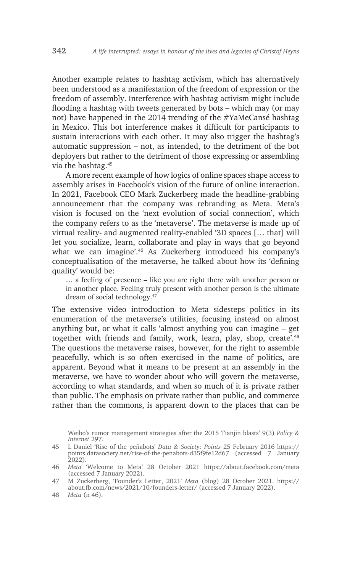Another example relates to hashtag activism, which has alternatively been understood as a manifestation of the freedom of expression or the freedom of assembly. Interference with hashtag activism might include flooding a hashtag with tweets generated by bots – which may (or may not) have happened in the 2014 trending of the #YaMeCansé hashtag in Mexico. This bot interference makes it difficult for participants to sustain interactions with each other. It may also trigger the hashtag's automatic suppression – not, as intended, to the detriment of the bot deployers but rather to the detriment of those expressing or assembling via the hashtag.45

A more recent example of how logics of online spaces shape access to assembly arises in Facebook's vision of the future of online interaction. In 2021, Facebook CEO Mark Zuckerberg made the headline-grabbing announcement that the company was rebranding as Meta. Meta's vision is focused on the 'next evolution of social connection', which the company refers to as the 'metaverse'. The metaverse is made up of virtual reality- and augmented reality-enabled '3D spaces [… that] will let you socialize, learn, collaborate and play in ways that go beyond what we can imagine'.<sup>46</sup> As Zuckerberg introduced his company's conceptualisation of the metaverse, he talked about how its 'defining quality' would be:

… a feeling of presence – like you are right there with another person or in another place. Feeling truly present with another person is the ultimate dream of social technology.47

The extensive video introduction to Meta sidesteps politics in its enumeration of the metaverse's utilities, focusing instead on almost anything but, or what it calls 'almost anything you can imagine – get together with friends and family, work, learn, play, shop, create'.<sup>48</sup> The questions the metaverse raises, however, for the right to assemble peacefully, which is so often exercised in the name of politics, are apparent. Beyond what it means to be present at an assembly in the metaverse, we have to wonder about who will govern the metaverse, according to what standards, and when so much of it is private rather than public. The emphasis on private rather than public, and commerce rather than the commons, is apparent down to the places that can be

Weibo's rumor management strategies after the 2015 Tianjin blasts' 9(3) *Policy & Internet* 297.

<sup>45</sup> L Daniel 'Rise of the peñabots' *Data & Society: Points* 25 February 2016 https:// points.datasociety.net/rise-of-the-penabots-d35f9fe12d67 (accessed 7 January 2022).

<sup>46</sup> *Meta* 'Welcome to Meta' 28 October 2021 https://about.facebook.com/meta (accessed 7 January 2022).

<sup>47</sup> M Zuckerberg, 'Founder's Letter, 2021' *Meta* (blog) 28 October 2021. https:// about.fb.com/news/2021/10/founders-letter/ (accessed 7 January 2022).

<sup>48</sup> *Meta* (n 46).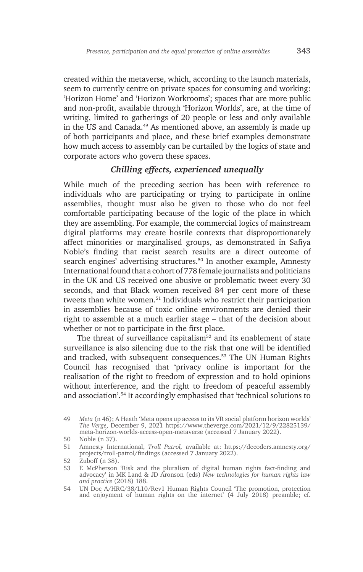created within the metaverse, which, according to the launch materials, seem to currently centre on private spaces for consuming and working: 'Horizon Home' and 'Horizon Workrooms'; spaces that are more public and non-profit, available through 'Horizon Worlds', are, at the time of writing, limited to gatherings of 20 people or less and only available in the US and Canada.49 As mentioned above, an assembly is made up of both participants and place, and these brief examples demonstrate how much access to assembly can be curtailed by the logics of state and corporate actors who govern these spaces.

## *Chilling effects, experienced unequally*

While much of the preceding section has been with reference to individuals who are participating or trying to participate in online assemblies, thought must also be given to those who do not feel comfortable participating because of the logic of the place in which they are assembling. For example, the commercial logics of mainstream digital platforms may create hostile contexts that disproportionately affect minorities or marginalised groups, as demonstrated in Safiya Noble's finding that racist search results are a direct outcome of search engines' advertising structures.<sup>50</sup> In another example, Amnesty International found that a cohort of 778 female journalists and politicians in the UK and US received one abusive or problematic tweet every 30 seconds, and that Black women received 84 per cent more of these tweets than white women.<sup>51</sup> Individuals who restrict their participation in assemblies because of toxic online environments are denied their right to assemble at a much earlier stage – that of the decision about whether or not to participate in the first place.

The threat of surveillance capitalism<sup>52</sup> and its enablement of state surveillance is also silencing due to the risk that one will be identified and tracked, with subsequent consequences.53 The UN Human Rights Council has recognised that 'privacy online is important for the realisation of the right to freedom of expression and to hold opinions without interference, and the right to freedom of peaceful assembly and association'.54 It accordingly emphasised that 'technical solutions to

<sup>49</sup> *Meta* (n 46); A Heath 'Meta opens up access to its VR social platform horizon worlds' *The Verge*, December 9, 2021 https://www.theverge.com/2021/12/9/22825139/ meta-horizon-worlds-access-open-metaverse (accessed 7 January 2022).

<sup>50</sup> Noble (n 37).

<sup>51</sup> Amnesty International, *Troll Patrol,* available at: https://decoders.amnesty.org/ projects/troll-patrol/findings (accessed 7 January 2022).

<sup>52</sup> Zuboff (n 38).

<sup>53</sup> E McPherson 'Risk and the pluralism of digital human rights fact-finding and advocacy' in MK Land & JD Aronson (eds) *New technologies for human rights law and practice* (2018) 188.

<sup>54</sup> UN Doc A/HRC/38/L10/Rev1 Human Rights Council 'The promotion, protection and enjoyment of human rights on the internet' (4 July 2018) preamble; cf.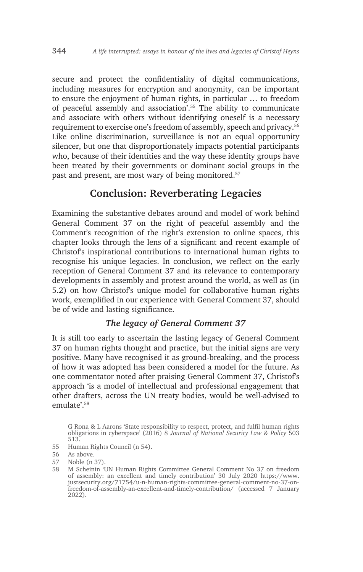secure and protect the confidentiality of digital communications, including measures for encryption and anonymity, can be important to ensure the enjoyment of human rights, in particular … to freedom of peaceful assembly and association'.55 The ability to communicate and associate with others without identifying oneself is a necessary requirement to exercise one's freedom of assembly, speech and privacy.56 Like online discrimination, surveillance is not an equal opportunity silencer, but one that disproportionately impacts potential participants who, because of their identities and the way these identity groups have been treated by their governments or dominant social groups in the past and present, are most wary of being monitored.<sup>57</sup>

# **Conclusion: Reverberating Legacies**

Examining the substantive debates around and model of work behind General Comment 37 on the right of peaceful assembly and the Comment's recognition of the right's extension to online spaces, this chapter looks through the lens of a significant and recent example of Christof's inspirational contributions to international human rights to recognise his unique legacies. In conclusion, we reflect on the early reception of General Comment 37 and its relevance to contemporary developments in assembly and protest around the world, as well as (in 5.2) on how Christof's unique model for collaborative human rights work, exemplified in our experience with General Comment 37, should be of wide and lasting significance.

## *The legacy of General Comment 37*

It is still too early to ascertain the lasting legacy of General Comment 37 on human rights thought and practice, but the initial signs are very positive. Many have recognised it as ground-breaking, and the process of how it was adopted has been considered a model for the future. As one commentator noted after praising General Comment 37, Christof's approach 'is a model of intellectual and professional engagement that other drafters, across the UN treaty bodies, would be well-advised to emulate<sup>'58</sup>

55 Human Rights Council (n 54).

57 Noble (n 37).

G Rona & L Aarons 'State responsibility to respect, protect, and fulfil human rights obligations in cyberspace' (2016) 8 *Journal of National Security Law & Policy* 503 513.

<sup>56</sup> As above.

<sup>58</sup> M Scheinin 'UN Human Rights Committee General Comment No 37 on freedom of assembly: an excellent and timely contribution' 30 July 2020 https://www. justsecurity.org/71754/u-n-human-rights-committee-general-comment-no-37-onfreedom-of-assembly-an-excellent-and-timely-contribution/ (accessed 7 January 2022).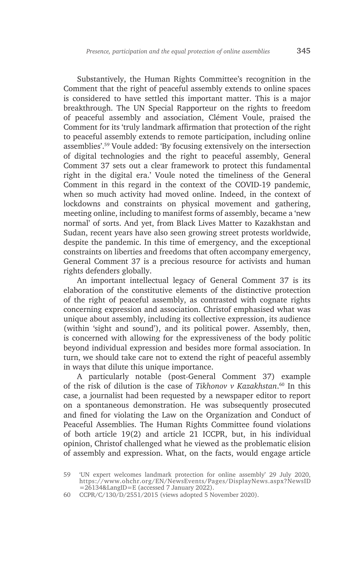Substantively, the Human Rights Committee's recognition in the Comment that the right of peaceful assembly extends to online spaces is considered to have settled this important matter. This is a major breakthrough. The UN Special Rapporteur on the rights to freedom of peaceful assembly and association, Clément Voule, praised the Comment for its 'truly landmark affirmation that protection of the right to peaceful assembly extends to remote participation, including online assemblies'.59 Voule added: 'By focusing extensively on the intersection of digital technologies and the right to peaceful assembly, General Comment 37 sets out a clear framework to protect this fundamental right in the digital era.' Voule noted the timeliness of the General Comment in this regard in the context of the COVID-19 pandemic, when so much activity had moved online. Indeed, in the context of lockdowns and constraints on physical movement and gathering, meeting online, including to manifest forms of assembly, became a 'new normal' of sorts. And yet, from Black Lives Matter to Kazakhstan and Sudan, recent years have also seen growing street protests worldwide, despite the pandemic. In this time of emergency, and the exceptional constraints on liberties and freedoms that often accompany emergency, General Comment 37 is a precious resource for activists and human rights defenders globally.

An important intellectual legacy of General Comment 37 is its elaboration of the constitutive elements of the distinctive protection of the right of peaceful assembly, as contrasted with cognate rights concerning expression and association. Christof emphasised what was unique about assembly, including its collective expression, its audience (within 'sight and sound'), and its political power. Assembly, then, is concerned with allowing for the expressiveness of the body politic beyond individual expression and besides more formal association. In turn, we should take care not to extend the right of peaceful assembly in ways that dilute this unique importance.

A particularly notable (post-General Comment 37) example of the risk of dilution is the case of *Tikhonov v Kazakhstan*. 60 In this case, a journalist had been requested by a newspaper editor to report on a spontaneous demonstration. He was subsequently prosecuted and fined for violating the Law on the Organization and Conduct of Peaceful Assemblies. The Human Rights Committee found violations of both article 19(2) and article 21 ICCPR, but, in his individual opinion, Christof challenged what he viewed as the problematic elision of assembly and expression. What, on the facts, would engage article

60 CCPR/C/130/D/2551/2015 (views adopted 5 November 2020).

<sup>59</sup> 'UN expert welcomes landmark protection for online assembly' 29 July 2020, https://www.ohchr.org/EN/NewsEvents/Pages/DisplayNews.aspx?NewsID =26134&LangID=E (accessed 7 January 2022).